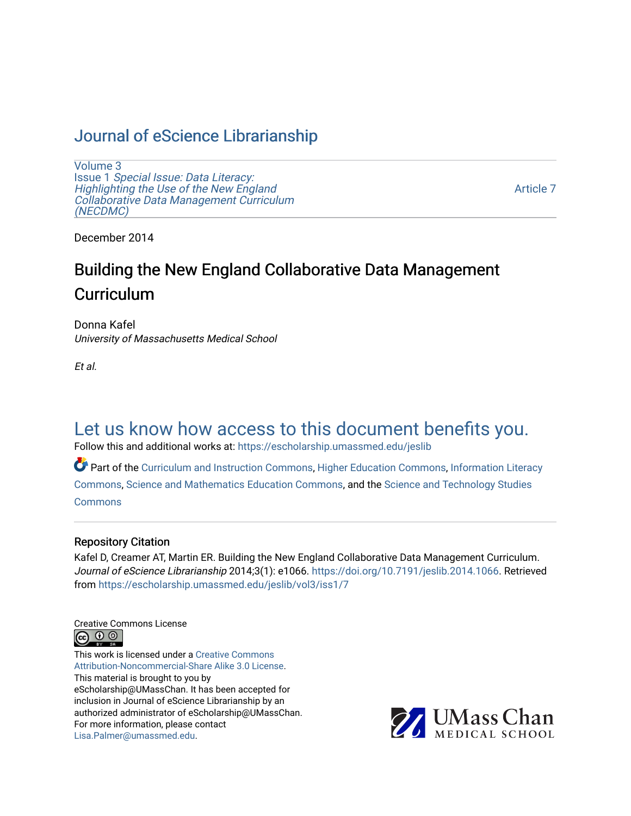### [Journal of eScience Librarianship](https://escholarship.umassmed.edu/jeslib)

[Volume 3](https://escholarship.umassmed.edu/jeslib/vol3) Issue 1 [Special Issue: Data Literacy:](https://escholarship.umassmed.edu/jeslib/vol3/iss1) [Highlighting the Use of the New England](https://escholarship.umassmed.edu/jeslib/vol3/iss1) [Collaborative Data Management Curriculum](https://escholarship.umassmed.edu/jeslib/vol3/iss1) [\(NECDMC\)](https://escholarship.umassmed.edu/jeslib/vol3/iss1) 

[Article 7](https://escholarship.umassmed.edu/jeslib/vol3/iss1/7) 

December 2014

# Building the New England Collaborative Data Management **Curriculum**

Donna Kafel University of Massachusetts Medical School

Et al.

## [Let us know how access to this document benefits you.](https://arcsapps.umassmed.edu/redcap/surveys/?s=XWRHNF9EJE)

Follow this and additional works at: [https://escholarship.umassmed.edu/jeslib](https://escholarship.umassmed.edu/jeslib?utm_source=escholarship.umassmed.edu%2Fjeslib%2Fvol3%2Fiss1%2F7&utm_medium=PDF&utm_campaign=PDFCoverPages) 

Part of the [Curriculum and Instruction Commons,](http://network.bepress.com/hgg/discipline/786?utm_source=escholarship.umassmed.edu%2Fjeslib%2Fvol3%2Fiss1%2F7&utm_medium=PDF&utm_campaign=PDFCoverPages) [Higher Education Commons,](http://network.bepress.com/hgg/discipline/1245?utm_source=escholarship.umassmed.edu%2Fjeslib%2Fvol3%2Fiss1%2F7&utm_medium=PDF&utm_campaign=PDFCoverPages) [Information Literacy](http://network.bepress.com/hgg/discipline/1243?utm_source=escholarship.umassmed.edu%2Fjeslib%2Fvol3%2Fiss1%2F7&utm_medium=PDF&utm_campaign=PDFCoverPages)  [Commons](http://network.bepress.com/hgg/discipline/1243?utm_source=escholarship.umassmed.edu%2Fjeslib%2Fvol3%2Fiss1%2F7&utm_medium=PDF&utm_campaign=PDFCoverPages), [Science and Mathematics Education Commons,](http://network.bepress.com/hgg/discipline/800?utm_source=escholarship.umassmed.edu%2Fjeslib%2Fvol3%2Fiss1%2F7&utm_medium=PDF&utm_campaign=PDFCoverPages) and the [Science and Technology Studies](http://network.bepress.com/hgg/discipline/435?utm_source=escholarship.umassmed.edu%2Fjeslib%2Fvol3%2Fiss1%2F7&utm_medium=PDF&utm_campaign=PDFCoverPages) **[Commons](http://network.bepress.com/hgg/discipline/435?utm_source=escholarship.umassmed.edu%2Fjeslib%2Fvol3%2Fiss1%2F7&utm_medium=PDF&utm_campaign=PDFCoverPages)** 

#### Repository Citation

Kafel D, Creamer AT, Martin ER. Building the New England Collaborative Data Management Curriculum. Journal of eScience Librarianship 2014;3(1): e1066. <https://doi.org/10.7191/jeslib.2014.1066>. Retrieved from [https://escholarship.umassmed.edu/jeslib/vol3/iss1/7](https://escholarship.umassmed.edu/jeslib/vol3/iss1/7?utm_source=escholarship.umassmed.edu%2Fjeslib%2Fvol3%2Fiss1%2F7&utm_medium=PDF&utm_campaign=PDFCoverPages) 

Creative Commons License



This work is licensed under a [Creative Commons](https://creativecommons.org/licenses/by-nc-sa/3.0/) [Attribution-Noncommercial-Share Alike 3.0 License](https://creativecommons.org/licenses/by-nc-sa/3.0/). This material is brought to you by eScholarship@UMassChan. It has been accepted for inclusion in Journal of eScience Librarianship by an authorized administrator of eScholarship@UMassChan. For more information, please contact [Lisa.Palmer@umassmed.edu](mailto:Lisa.Palmer@umassmed.edu).

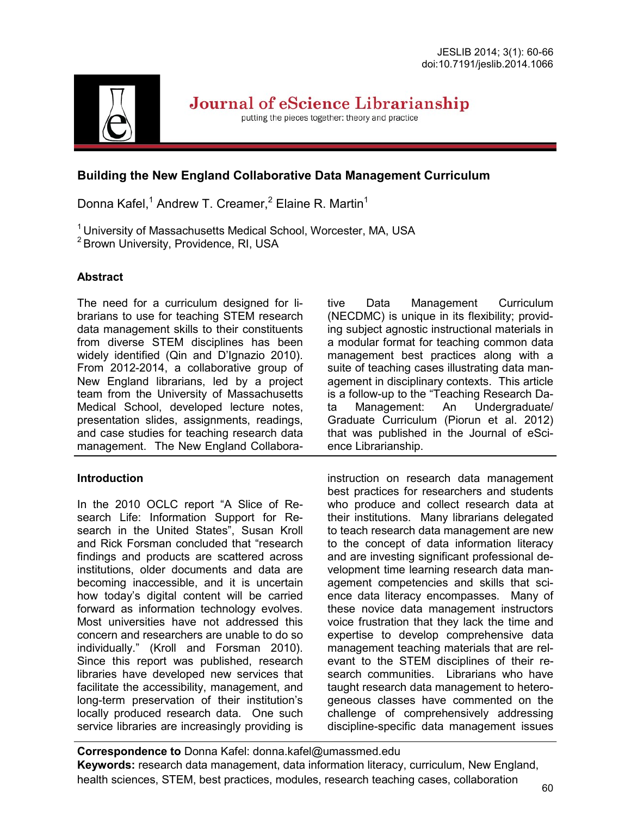

Journal of eScience Librarianship

putting the pieces together: theory and practice

#### **Building the New England Collaborative Data Management Curriculum**

Donna Kafel,<sup>1</sup> Andrew T. Creamer,<sup>2</sup> Elaine R. Martin<sup>1</sup>

<sup>1</sup> University of Massachusetts Medical School, Worcester, MA, USA

<sup>2</sup> Brown University, Providence, RI, USA

#### **Abstract**

The need for a curriculum designed for librarians to use for teaching STEM research data management skills to their constituents from diverse STEM disciplines has been widely identified (Qin and D'Ignazio 2010). From 2012-2014, a collaborative group of New England librarians, led by a project team from the University of Massachusetts Medical School, developed lecture notes, presentation slides, assignments, readings, and case studies for teaching research data management. The New England Collabora-

#### **Introduction**

In the 2010 OCLC report "A Slice of Research Life: Information Support for Research in the United States", Susan Kroll and Rick Forsman concluded that "research findings and products are scattered across institutions, older documents and data are becoming inaccessible, and it is uncertain how today's digital content will be carried forward as information technology evolves. Most universities have not addressed this concern and researchers are unable to do so individually." (Kroll and Forsman 2010). Since this report was published, research libraries have developed new services that facilitate the accessibility, management, and long-term preservation of their institution's locally produced research data. One such service libraries are increasingly providing is tive Data Management Curriculum (NECDMC) is unique in its flexibility; providing subject agnostic instructional materials in a modular format for teaching common data management best practices along with a suite of teaching cases illustrating data management in disciplinary contexts. This article is a follow-up to the "Teaching Research Data Management: An Undergraduate/ Graduate Curriculum (Piorun et al. 2012) that was published in the Journal of eScience Librarianship.

instruction on research data management best practices for researchers and students who produce and collect research data at their institutions. Many librarians delegated to teach research data management are new to the concept of data information literacy and are investing significant professional development time learning research data management competencies and skills that science data literacy encompasses. Many of these novice data management instructors voice frustration that they lack the time and expertise to develop comprehensive data management teaching materials that are relevant to the STEM disciplines of their research communities. Librarians who have taught research data management to heterogeneous classes have commented on the challenge of comprehensively addressing discipline-specific data management issues

**Correspondence to** Donna Kafel: donna.kafel@umassmed.edu **Keywords:** research data management, data information literacy, curriculum, New England, health sciences, STEM, best practices, modules, research teaching cases, collaboration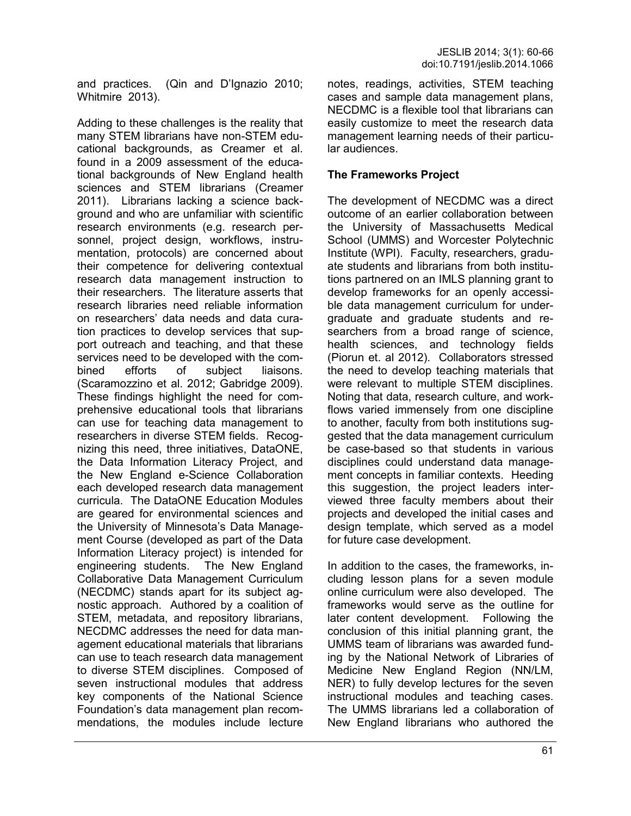and practices. (Qin and D'Ignazio 2010; Whitmire 2013).

Adding to these challenges is the reality that many STEM librarians have non-STEM educational backgrounds, as Creamer et al. found in a 2009 assessment of the educational backgrounds of New England health sciences and STEM librarians (Creamer 2011). Librarians lacking a science background and who are unfamiliar with scientific research environments (e.g. research personnel, project design, workflows, instrumentation, protocols) are concerned about their competence for delivering contextual research data management instruction to their researchers. The literature asserts that research libraries need reliable information on researchers' data needs and data curation practices to develop services that support outreach and teaching, and that these services need to be developed with the combined efforts of subject liaisons. (Scaramozzino et al. 2012; Gabridge 2009). These findings highlight the need for comprehensive educational tools that librarians can use for teaching data management to researchers in diverse STEM fields. Recognizing this need, three initiatives, DataONE, the Data Information Literacy Project, and the New England e-Science Collaboration each developed research data management curricula. The DataONE Education Modules are geared for environmental sciences and the University of Minnesota's Data Management Course (developed as part of the Data Information Literacy project) is intended for engineering students. The New England Collaborative Data Management Curriculum (NECDMC) stands apart for its subject agnostic approach. Authored by a coalition of STEM, metadata, and repository librarians, NECDMC addresses the need for data management educational materials that librarians can use to teach research data management to diverse STEM disciplines. Composed of seven instructional modules that address key components of the National Science Foundation's data management plan recommendations, the modules include lecture

notes, readings, activities, STEM teaching cases and sample data management plans, NECDMC is a flexible tool that librarians can easily customize to meet the research data management learning needs of their particular audiences.

#### **The Frameworks Project**

The development of NECDMC was a direct outcome of an earlier collaboration between the University of Massachusetts Medical School (UMMS) and Worcester Polytechnic Institute (WPI). Faculty, researchers, graduate students and librarians from both institutions partnered on an IMLS planning grant to develop frameworks for an openly accessible data management curriculum for undergraduate and graduate students and researchers from a broad range of science, health sciences, and technology fields (Piorun et. al 2012). Collaborators stressed the need to develop teaching materials that were relevant to multiple STEM disciplines. Noting that data, research culture, and workflows varied immensely from one discipline to another, faculty from both institutions suggested that the data management curriculum be case-based so that students in various disciplines could understand data management concepts in familiar contexts. Heeding this suggestion, the project leaders interviewed three faculty members about their projects and developed the initial cases and design template, which served as a model for future case development.

In addition to the cases, the frameworks, including lesson plans for a seven module online curriculum were also developed. The frameworks would serve as the outline for later content development. Following the conclusion of this initial planning grant, the UMMS team of librarians was awarded funding by the National Network of Libraries of Medicine New England Region (NN/LM, NER) to fully develop lectures for the seven instructional modules and teaching cases. The UMMS librarians led a collaboration of New England librarians who authored the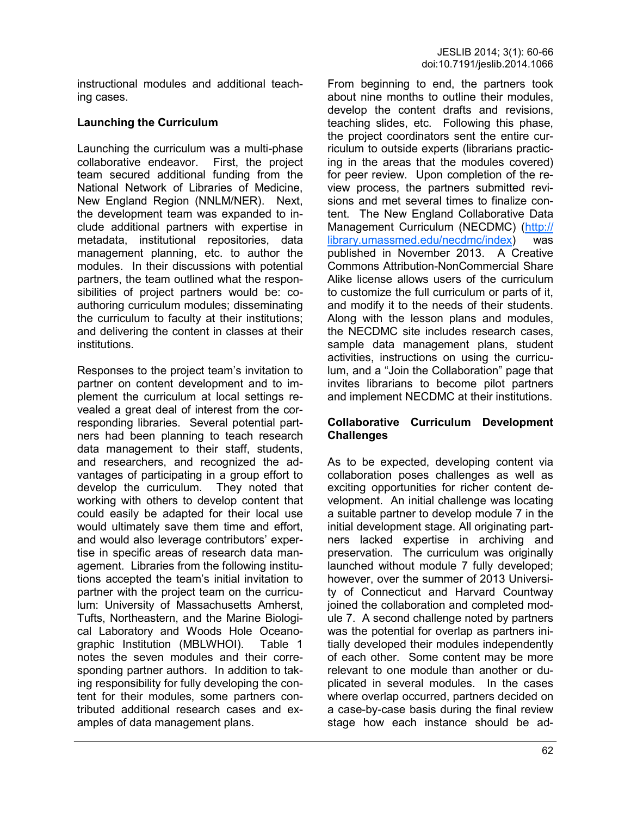instructional modules and additional teaching cases.

#### **Launching the Curriculum**

Launching the curriculum was a multi-phase collaborative endeavor. First, the project team secured additional funding from the National Network of Libraries of Medicine, New England Region (NNLM/NER). Next, the development team was expanded to include additional partners with expertise in metadata, institutional repositories, data management planning, etc. to author the modules. In their discussions with potential partners, the team outlined what the responsibilities of project partners would be: coauthoring curriculum modules; disseminating the curriculum to faculty at their institutions; and delivering the content in classes at their institutions.

Responses to the project team's invitation to partner on content development and to implement the curriculum at local settings revealed a great deal of interest from the corresponding libraries. Several potential partners had been planning to teach research data management to their staff, students, and researchers, and recognized the advantages of participating in a group effort to develop the curriculum. They noted that working with others to develop content that could easily be adapted for their local use would ultimately save them time and effort, and would also leverage contributors' expertise in specific areas of research data management. Libraries from the following institutions accepted the team's initial invitation to partner with the project team on the curriculum: University of Massachusetts Amherst, Tufts, Northeastern, and the Marine Biological Laboratory and Woods Hole Oceanographic Institution (MBLWHOI). Table 1 notes the seven modules and their corresponding partner authors. In addition to taking responsibility for fully developing the content for their modules, some partners contributed additional research cases and examples of data management plans.

From beginning to end, the partners took about nine months to outline their modules, develop the content drafts and revisions, teaching slides, etc. Following this phase, the project coordinators sent the entire curriculum to outside experts (librarians practicing in the areas that the modules covered) for peer review. Upon completion of the review process, the partners submitted revisions and met several times to finalize content. The New England Collaborative Data Management Curriculum (NECDMC) ([http://](http://library.umassmed.edu/necdmc/index) [library.umassmed.edu/necdmc/index\)](http://library.umassmed.edu/necdmc/index) was published in November 2013. A Creative Commons Attribution-NonCommercial Share Alike license allows users of the curriculum to customize the full curriculum or parts of it, and modify it to the needs of their students. Along with the lesson plans and modules, the NECDMC site includes research cases, sample data management plans, student activities, instructions on using the curriculum, and a "Join the Collaboration" page that invites librarians to become pilot partners and implement NECDMC at their institutions.

#### **Collaborative Curriculum Development Challenges**

As to be expected, developing content via collaboration poses challenges as well as exciting opportunities for richer content development. An initial challenge was locating a suitable partner to develop module 7 in the initial development stage. All originating partners lacked expertise in archiving and preservation. The curriculum was originally launched without module 7 fully developed; however, over the summer of 2013 University of Connecticut and Harvard Countway joined the collaboration and completed module 7. A second challenge noted by partners was the potential for overlap as partners initially developed their modules independently of each other. Some content may be more relevant to one module than another or duplicated in several modules. In the cases where overlap occurred, partners decided on a case-by-case basis during the final review stage how each instance should be ad-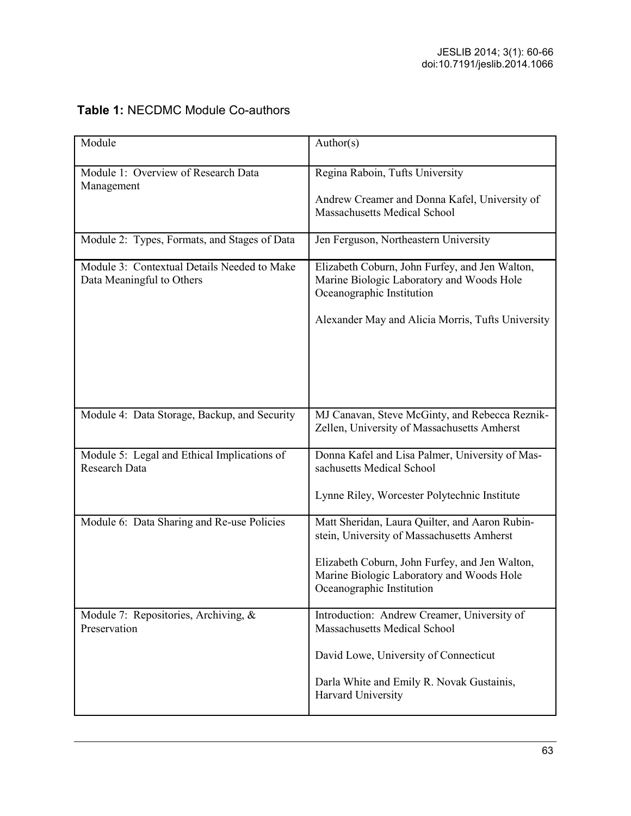| Module                                                                   | Author(s)                                                                                                                |
|--------------------------------------------------------------------------|--------------------------------------------------------------------------------------------------------------------------|
| Module 1: Overview of Research Data<br>Management                        | Regina Raboin, Tufts University                                                                                          |
|                                                                          | Andrew Creamer and Donna Kafel, University of<br><b>Massachusetts Medical School</b>                                     |
| Module 2: Types, Formats, and Stages of Data                             | Jen Ferguson, Northeastern University                                                                                    |
| Module 3: Contextual Details Needed to Make<br>Data Meaningful to Others | Elizabeth Coburn, John Furfey, and Jen Walton,<br>Marine Biologic Laboratory and Woods Hole<br>Oceanographic Institution |
|                                                                          | Alexander May and Alicia Morris, Tufts University                                                                        |
| Module 4: Data Storage, Backup, and Security                             | MJ Canavan, Steve McGinty, and Rebecca Reznik-<br>Zellen, University of Massachusetts Amherst                            |
| Module 5: Legal and Ethical Implications of<br>Research Data             | Donna Kafel and Lisa Palmer, University of Mas-<br>sachusetts Medical School                                             |
|                                                                          | Lynne Riley, Worcester Polytechnic Institute                                                                             |
| Module 6: Data Sharing and Re-use Policies                               | Matt Sheridan, Laura Quilter, and Aaron Rubin-<br>stein, University of Massachusetts Amherst                             |
|                                                                          | Elizabeth Coburn, John Furfey, and Jen Walton,<br>Marine Biologic Laboratory and Woods Hole<br>Oceanographic Institution |
| Module 7: Repositories, Archiving, $\&$<br>Preservation                  | Introduction: Andrew Creamer, University of<br>Massachusetts Medical School                                              |
|                                                                          | David Lowe, University of Connecticut                                                                                    |
|                                                                          | Darla White and Emily R. Novak Gustainis,<br>Harvard University                                                          |

### **Table 1:** NECDMC Module Co-authors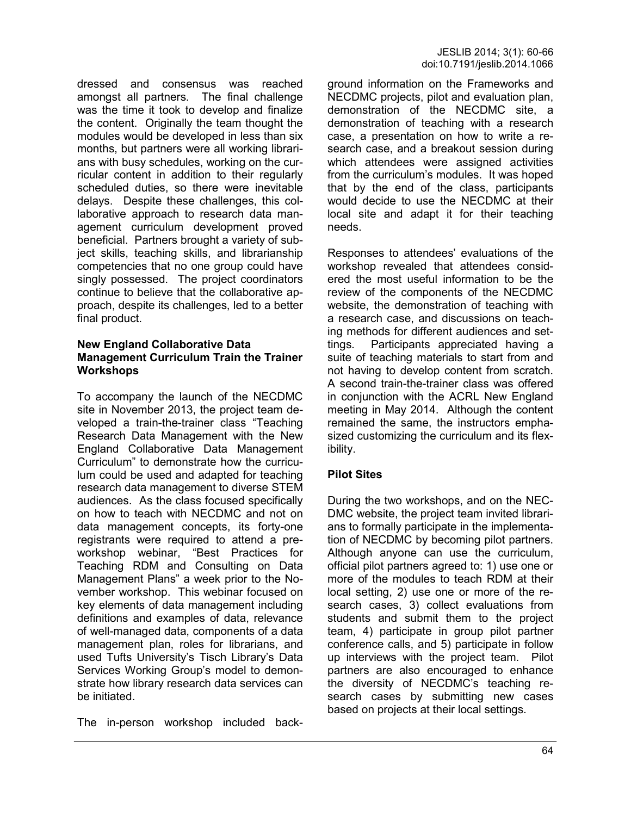dressed and consensus was reached amongst all partners. The final challenge was the time it took to develop and finalize the content. Originally the team thought the modules would be developed in less than six months, but partners were all working librarians with busy schedules, working on the curricular content in addition to their regularly scheduled duties, so there were inevitable delays. Despite these challenges, this collaborative approach to research data management curriculum development proved beneficial. Partners brought a variety of subject skills, teaching skills, and librarianship competencies that no one group could have singly possessed. The project coordinators continue to believe that the collaborative approach, despite its challenges, led to a better final product.

#### **New England Collaborative Data Management Curriculum Train the Trainer Workshops**

To accompany the launch of the NECDMC site in November 2013, the project team developed a train-the-trainer class "Teaching Research Data Management with the New England Collaborative Data Management Curriculum" to demonstrate how the curriculum could be used and adapted for teaching research data management to diverse STEM audiences. As the class focused specifically on how to teach with NECDMC and not on data management concepts, its forty-one registrants were required to attend a preworkshop webinar, "Best Practices for Teaching RDM and Consulting on Data Management Plans" a week prior to the November workshop. This webinar focused on key elements of data management including definitions and examples of data, relevance of well-managed data, components of a data management plan, roles for librarians, and used Tufts University's Tisch Library's Data Services Working Group's model to demonstrate how library research data services can be initiated.

The in-person workshop included back-

ground information on the Frameworks and NECDMC projects, pilot and evaluation plan, demonstration of the NECDMC site, a demonstration of teaching with a research case, a presentation on how to write a research case, and a breakout session during which attendees were assigned activities from the curriculum's modules. It was hoped that by the end of the class, participants would decide to use the NECDMC at their local site and adapt it for their teaching needs.

Responses to attendees' evaluations of the workshop revealed that attendees considered the most useful information to be the review of the components of the NECDMC website, the demonstration of teaching with a research case, and discussions on teaching methods for different audiences and settings. Participants appreciated having a suite of teaching materials to start from and not having to develop content from scratch. A second train-the-trainer class was offered in conjunction with the ACRL New England meeting in May 2014. Although the content remained the same, the instructors emphasized customizing the curriculum and its flexibility.

#### **Pilot Sites**

During the two workshops, and on the NEC-DMC website, the project team invited librarians to formally participate in the implementation of NECDMC by becoming pilot partners. Although anyone can use the curriculum, official pilot partners agreed to: 1) use one or more of the modules to teach RDM at their local setting, 2) use one or more of the research cases, 3) collect evaluations from students and submit them to the project team, 4) participate in group pilot partner conference calls, and 5) participate in follow up interviews with the project team. Pilot partners are also encouraged to enhance the diversity of NECDMC's teaching research cases by submitting new cases based on projects at their local settings.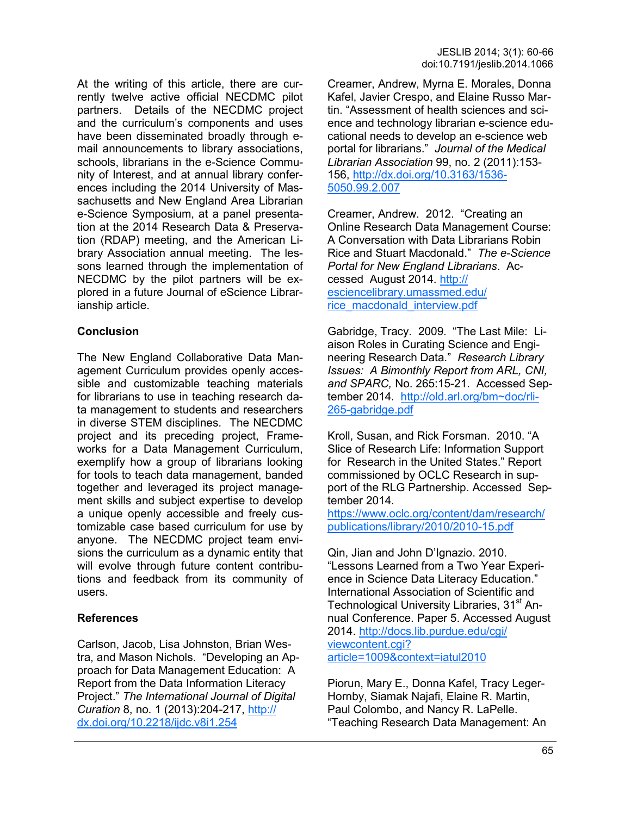At the writing of this article, there are currently twelve active official NECDMC pilot partners. Details of the NECDMC project and the curriculum's components and uses have been disseminated broadly through email announcements to library associations, schools, librarians in the e-Science Community of Interest, and at annual library conferences including the 2014 University of Massachusetts and New England Area Librarian e-Science Symposium, at a panel presentation at the 2014 Research Data & Preservation (RDAP) meeting, and the American Library Association annual meeting. The lessons learned through the implementation of NECDMC by the pilot partners will be explored in a future Journal of eScience Librarianship article.

#### **Conclusion**

The New England Collaborative Data Management Curriculum provides openly accessible and customizable teaching materials for librarians to use in teaching research data management to students and researchers in diverse STEM disciplines. The NECDMC project and its preceding project, Frameworks for a Data Management Curriculum, exemplify how a group of librarians looking for tools to teach data management, banded together and leveraged its project management skills and subject expertise to develop a unique openly accessible and freely customizable case based curriculum for use by anyone. The NECDMC project team envisions the curriculum as a dynamic entity that will evolve through future content contributions and feedback from its community of users.

#### **References**

Carlson, Jacob, Lisa Johnston, Brian Westra, and Mason Nichols. "Developing an Approach for Data Management Education: A Report from the Data Information Literacy Project." *The International Journal of Digital Curation* 8, no. 1 (2013):204-217, [http://](http://dx.doi.org/10.2218/ijdc.v8i1.254) [dx.doi.org/10.2218/ijdc.v8i1.254](http://dx.doi.org/10.2218/ijdc.v8i1.254)

Creamer, Andrew, Myrna E. Morales, Donna Kafel, Javier Crespo, and Elaine Russo Martin. "Assessment of health sciences and science and technology librarian e-science educational needs to develop an e-science web portal for librarians." *Journal of the Medical Librarian Association* 99, no. 2 (2011):153- 156, [http://dx.doi.org/10.3163/1536](http://dx.doi.org/10.3163/1536-5050.99.2.007)- [5050.99.2.007](http://dx.doi.org/10.3163/1536-5050.99.2.007)

Creamer, Andrew. 2012. "Creating an Online Research Data Management Course: A Conversation with Data Librarians Robin Rice and Stuart Macdonald." *The e-Science Portal for New England Librarians*. Accessed August 2014. [http://](http://esciencelibrary.umassmed.edu/rice_macdonald_interview.pdf) [esciencelibrary.umassmed.edu/](http://esciencelibrary.umassmed.edu/rice_macdonald_interview.pdf) [rice\\_macdonald\\_interview.pdf](http://esciencelibrary.umassmed.edu/rice_macdonald_interview.pdf)

Gabridge, Tracy. 2009. "The Last Mile: Liaison Roles in Curating Science and Engineering Research Data." *Research Library Issues: A Bimonthly Report from ARL, CNI, and SPARC,* No. 265:15-21. Accessed September 2014. [http://old.arl.org/bm~doc/rli](http://old.arl.org/bm~doc/rli-265-gabridge.pdf)-265-[gabridge.pdf](http://old.arl.org/bm~doc/rli-265-gabridge.pdf)

Kroll, Susan, and Rick Forsman. 2010. "A Slice of Research Life: Information Support for Research in the United States." Report commissioned by OCLC Research in support of the RLG Partnership. Accessed September 2014.

[https://www.oclc.org/content/dam/research/](https://www.oclc.org/content/dam/research/publications/library/2010/2010-15.pdf) [publications/library/2010/2010](https://www.oclc.org/content/dam/research/publications/library/2010/2010-15.pdf)-15.pdf

Qin, Jian and John D'Ignazio. 2010. "Lessons Learned from a Two Year Experience in Science Data Literacy Education." International Association of Scientific and Technological University Libraries, 31<sup>st</sup> Annual Conference. Paper 5. Accessed August 2014. [http://docs.lib.purdue.edu/cgi/](http://docs.lib.purdue.edu/cgi/viewcontent.cgi?article=1009&context=iatul2010) [viewcontent.cgi?](http://docs.lib.purdue.edu/cgi/viewcontent.cgi?article=1009&context=iatul2010) [article=1009&context=iatul2010](http://docs.lib.purdue.edu/cgi/viewcontent.cgi?article=1009&context=iatul2010) 

Piorun, Mary E., Donna Kafel, Tracy Leger-Hornby, Siamak Najafi, Elaine R. Martin, Paul Colombo, and Nancy R. LaPelle. "Teaching Research Data Management: An